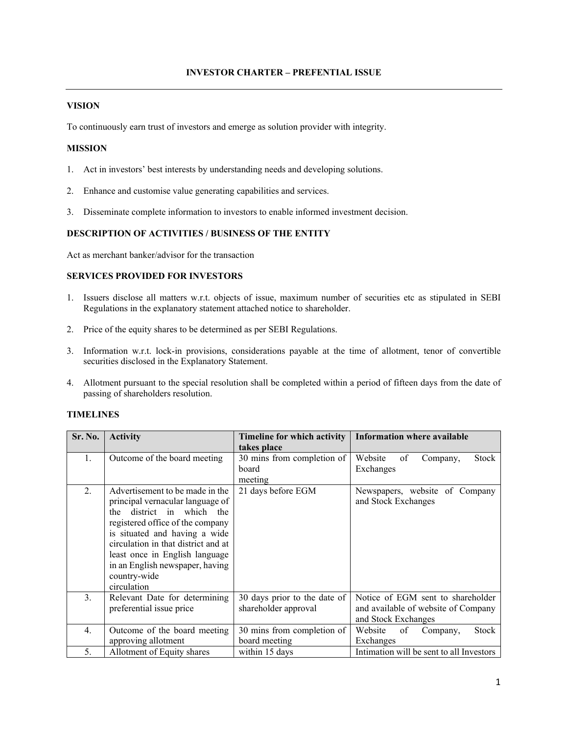## **VISION**

To continuously earn trust of investors and emerge as solution provider with integrity.

# **MISSION**

- 1. Act in investors' best interests by understanding needs and developing solutions.
- 2. Enhance and customise value generating capabilities and services.
- 3. Disseminate complete information to investors to enable informed investment decision.

### **DESCRIPTION OF ACTIVITIES / BUSINESS OF THE ENTITY**

Act as merchant banker/advisor for the transaction

# **SERVICES PROVIDED FOR INVESTORS**

- 1. Issuers disclose all matters w.r.t. objects of issue, maximum number of securities etc as stipulated in SEBI Regulations in the explanatory statement attached notice to shareholder.
- 2. Price of the equity shares to be determined as per SEBI Regulations.
- 3. Information w.r.t. lock-in provisions, considerations payable at the time of allotment, tenor of convertible securities disclosed in the Explanatory Statement.
- 4. Allotment pursuant to the special resolution shall be completed within a period of fifteen days from the date of passing of shareholders resolution.

# **TIMELINES**

| Sr. No.          | <b>Activity</b>                                                                                                                                                                                                                                                                                                     | Timeline for which activity                          | <b>Information where available</b>                                                              |
|------------------|---------------------------------------------------------------------------------------------------------------------------------------------------------------------------------------------------------------------------------------------------------------------------------------------------------------------|------------------------------------------------------|-------------------------------------------------------------------------------------------------|
|                  |                                                                                                                                                                                                                                                                                                                     | takes place                                          |                                                                                                 |
| $\mathbf{1}$ .   | Outcome of the board meeting                                                                                                                                                                                                                                                                                        | 30 mins from completion of<br>board                  | Website<br>of<br>Stock<br>Company,                                                              |
|                  |                                                                                                                                                                                                                                                                                                                     | meeting                                              | Exchanges                                                                                       |
| $\overline{2}$ . | Advertisement to be made in the<br>principal vernacular language of<br>district in which the<br>the<br>registered office of the company<br>is situated and having a wide<br>circulation in that district and at<br>least once in English language<br>in an English newspaper, having<br>country-wide<br>circulation | 21 days before EGM                                   | Newspapers, website of Company<br>and Stock Exchanges                                           |
| $\mathfrak{Z}$ . | Relevant Date for determining<br>preferential issue price                                                                                                                                                                                                                                                           | 30 days prior to the date of<br>shareholder approval | Notice of EGM sent to shareholder<br>and available of website of Company<br>and Stock Exchanges |
| $\overline{4}$ . | Outcome of the board meeting<br>approving allotment                                                                                                                                                                                                                                                                 | 30 mins from completion of<br>board meeting          | <b>Stock</b><br>Website<br>of<br>Company,<br>Exchanges                                          |
| 5.               | Allotment of Equity shares                                                                                                                                                                                                                                                                                          | within 15 days                                       | Intimation will be sent to all Investors                                                        |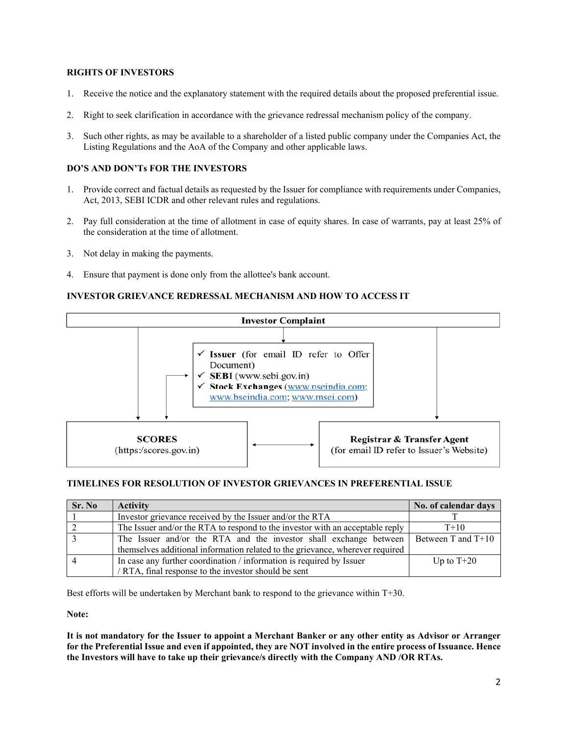# **RIGHTS OF INVESTORS**

- 1. Receive the notice and the explanatory statement with the required details about the proposed preferential issue.
- 2. Right to seek clarification in accordance with the grievance redressal mechanism policy of the company.
- 3. Such other rights, as may be available to a shareholder of a listed public company under the Companies Act, the Listing Regulations and the AoA of the Company and other applicable laws.

# **DO'S AND DON'Ts FOR THE INVESTORS**

- 1. Provide correct and factual details as requested by the Issuer for compliance with requirements under Companies, Act, 2013, SEBI ICDR and other relevant rules and regulations.
- 2. Pay full consideration at the time of allotment in case of equity shares. In case of warrants, pay at least 25% of the consideration at the time of allotment.
- 3. Not delay in making the payments.
- 4. Ensure that payment is done only from the allottee's bank account.

### **INVESTOR GRIEVANCE REDRESSAL MECHANISM AND HOW TO ACCESS IT**



#### **TIMELINES FOR RESOLUTION OF INVESTOR GRIEVANCES IN PREFERENTIAL ISSUE**

| Sr. No | <b>Activity</b>                                                               | No. of calendar days |
|--------|-------------------------------------------------------------------------------|----------------------|
|        | Investor grievance received by the Issuer and/or the RTA                      |                      |
|        | The Issuer and/or the RTA to respond to the investor with an acceptable reply | $T+10$               |
|        | The Issuer and/or the RTA and the investor shall exchange between             | Between T and T+10   |
|        | themselves additional information related to the grievance, wherever required |                      |
|        | In case any further coordination / information is required by Issuer          | Up to $T+20$         |
|        | / RTA, final response to the investor should be sent                          |                      |

Best efforts will be undertaken by Merchant bank to respond to the grievance within T+30.

**Note:** 

**It is not mandatory for the Issuer to appoint a Merchant Banker or any other entity as Advisor or Arranger for the Preferential Issue and even if appointed, they are NOT involved in the entire process of Issuance. Hence the Investors will have to take up their grievance/s directly with the Company AND /OR RTAs.**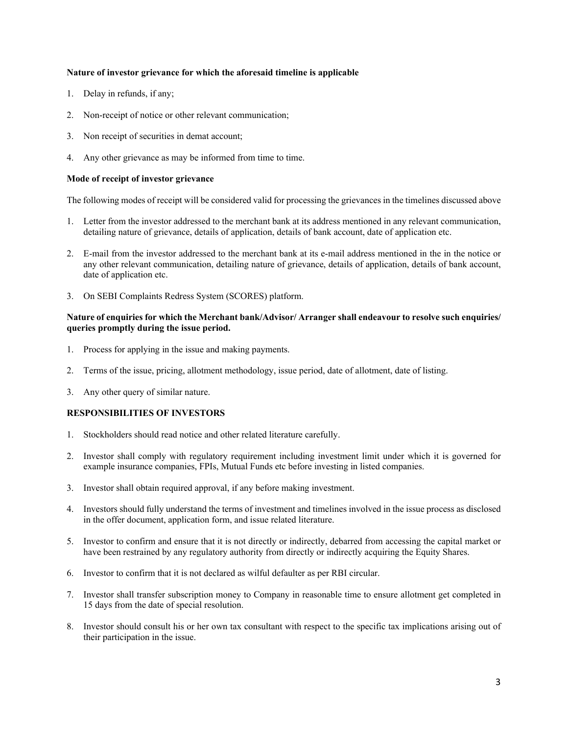### **Nature of investor grievance for which the aforesaid timeline is applicable**

- 1. Delay in refunds, if any;
- 2. Non-receipt of notice or other relevant communication;
- 3. Non receipt of securities in demat account;
- 4. Any other grievance as may be informed from time to time.

### **Mode of receipt of investor grievance**

The following modes of receipt will be considered valid for processing the grievances in the timelines discussed above

- 1. Letter from the investor addressed to the merchant bank at its address mentioned in any relevant communication, detailing nature of grievance, details of application, details of bank account, date of application etc.
- 2. E-mail from the investor addressed to the merchant bank at its e-mail address mentioned in the in the notice or any other relevant communication, detailing nature of grievance, details of application, details of bank account, date of application etc.
- 3. On SEBI Complaints Redress System (SCORES) platform.

### **Nature of enquiries for which the Merchant bank/Advisor/ Arranger shall endeavour to resolve such enquiries/ queries promptly during the issue period.**

- 1. Process for applying in the issue and making payments.
- 2. Terms of the issue, pricing, allotment methodology, issue period, date of allotment, date of listing.
- 3. Any other query of similar nature.

### **RESPONSIBILITIES OF INVESTORS**

- 1. Stockholders should read notice and other related literature carefully.
- 2. Investor shall comply with regulatory requirement including investment limit under which it is governed for example insurance companies, FPIs, Mutual Funds etc before investing in listed companies.
- 3. Investor shall obtain required approval, if any before making investment.
- 4. Investors should fully understand the terms of investment and timelines involved in the issue process as disclosed in the offer document, application form, and issue related literature.
- 5. Investor to confirm and ensure that it is not directly or indirectly, debarred from accessing the capital market or have been restrained by any regulatory authority from directly or indirectly acquiring the Equity Shares.
- 6. Investor to confirm that it is not declared as wilful defaulter as per RBI circular.
- 7. Investor shall transfer subscription money to Company in reasonable time to ensure allotment get completed in 15 days from the date of special resolution.
- 8. Investor should consult his or her own tax consultant with respect to the specific tax implications arising out of their participation in the issue.